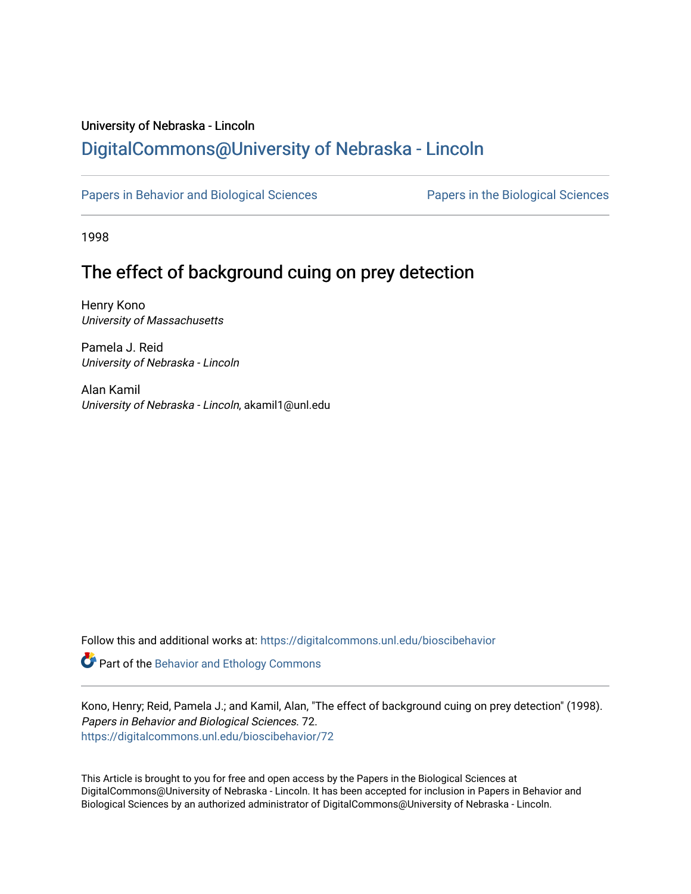## University of Nebraska - Lincoln [DigitalCommons@University of Nebraska - Lincoln](https://digitalcommons.unl.edu/)

[Papers in Behavior and Biological Sciences](https://digitalcommons.unl.edu/bioscibehavior) [Papers in the Biological Sciences](https://digitalcommons.unl.edu/bioscipapers) 

1998

## The effect of background cuing on prey detection

Henry Kono University of Massachusetts

Pamela J. Reid University of Nebraska - Lincoln

Alan Kamil University of Nebraska - Lincoln, akamil1@unl.edu

Follow this and additional works at: [https://digitalcommons.unl.edu/bioscibehavior](https://digitalcommons.unl.edu/bioscibehavior?utm_source=digitalcommons.unl.edu%2Fbioscibehavior%2F72&utm_medium=PDF&utm_campaign=PDFCoverPages)

Part of the [Behavior and Ethology Commons](http://network.bepress.com/hgg/discipline/15?utm_source=digitalcommons.unl.edu%2Fbioscibehavior%2F72&utm_medium=PDF&utm_campaign=PDFCoverPages) 

Kono, Henry; Reid, Pamela J.; and Kamil, Alan, "The effect of background cuing on prey detection" (1998). Papers in Behavior and Biological Sciences. 72. [https://digitalcommons.unl.edu/bioscibehavior/72](https://digitalcommons.unl.edu/bioscibehavior/72?utm_source=digitalcommons.unl.edu%2Fbioscibehavior%2F72&utm_medium=PDF&utm_campaign=PDFCoverPages) 

This Article is brought to you for free and open access by the Papers in the Biological Sciences at DigitalCommons@University of Nebraska - Lincoln. It has been accepted for inclusion in Papers in Behavior and Biological Sciences by an authorized administrator of DigitalCommons@University of Nebraska - Lincoln.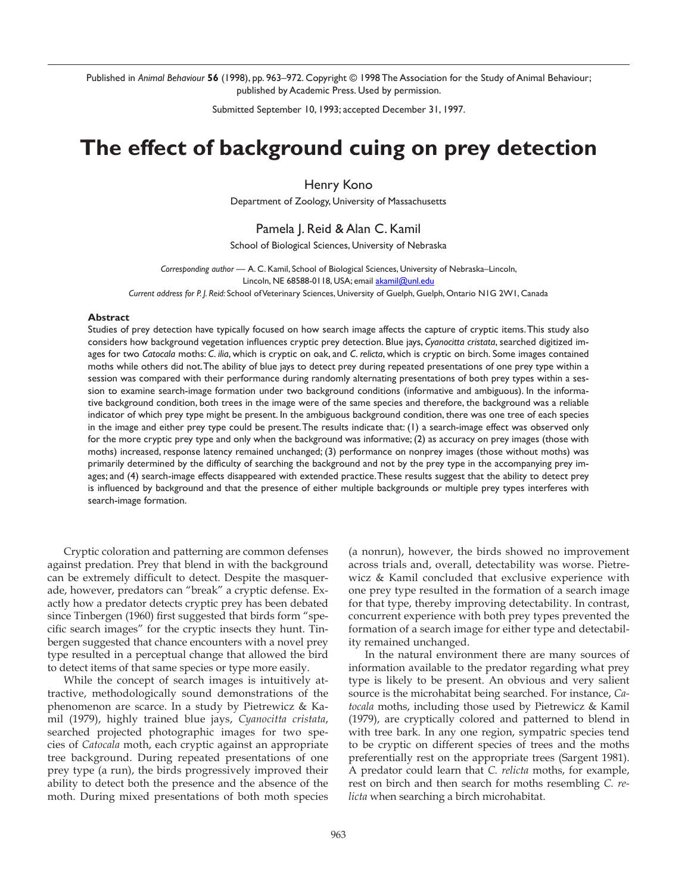Published in *Animal Behaviour* **56** (1998), pp. 963–972. Copyright © 1998 The Association for the Study of Animal Behaviour; published by Academic Press. Used by permission.

Submitted September 10, 1993; accepted December 31, 1997.

# **The effect of background cuing on prey detection**

Henry Kono Department of Zoology, University of Massachusetts

### Pamela J. Reid & Alan C. Kamil School of Biological Sciences, University of Nebraska

*Corresponding author —* A. C. Kamil, School of Biological Sciences, University of Nebraska–Lincoln, Lincoln, NE 68588-0118, USA; email akamil@unl.edu *Current address for P. J. Reid:* School of Veterinary Sciences, University of Guelph, Guelph, Ontario N1G 2W1, Canada

#### **Abstract**

Studies of prey detection have typically focused on how search image affects the capture of cryptic items. This study also considers how background vegetation influences cryptic prey detection. Blue jays, *Cyanocitta cristata*, searched digitized images for two *Catocala* moths: *C. ilia*, which is cryptic on oak, and *C. relicta*, which is cryptic on birch. Some images contained moths while others did not. The ability of blue jays to detect prey during repeated presentations of one prey type within a session was compared with their performance during randomly alternating presentations of both prey types within a session to examine search-image formation under two background conditions (informative and ambiguous). In the informative background condition, both trees in the image were of the same species and therefore, the background was a reliable indicator of which prey type might be present. In the ambiguous background condition, there was one tree of each species in the image and either prey type could be present. The results indicate that: (1) a search-image effect was observed only for the more cryptic prey type and only when the background was informative; (2) as accuracy on prey images (those with moths) increased, response latency remained unchanged; (3) performance on nonprey images (those without moths) was primarily determined by the difficulty of searching the background and not by the prey type in the accompanying prey images; and (4) search-image effects disappeared with extended practice. These results suggest that the ability to detect prey is influenced by background and that the presence of either multiple backgrounds or multiple prey types interferes with search-image formation.

Cryptic coloration and patterning are common defenses against predation. Prey that blend in with the background can be extremely difficult to detect. Despite the masquerade, however, predators can "break" a cryptic defense. Exactly how a predator detects cryptic prey has been debated since Tinbergen (1960) first suggested that birds form "specific search images" for the cryptic insects they hunt. Tinbergen suggested that chance encounters with a novel prey type resulted in a perceptual change that allowed the bird to detect items of that same species or type more easily.

While the concept of search images is intuitively attractive, methodologically sound demonstrations of the phenomenon are scarce. In a study by Pietrewicz & Kamil (1979), highly trained blue jays, *Cyanocitta cristata*, searched projected photographic images for two species of *Catocala* moth, each cryptic against an appropriate tree background. During repeated presentations of one prey type (a run), the birds progressively improved their ability to detect both the presence and the absence of the moth. During mixed presentations of both moth species

(a nonrun), however, the birds showed no improvement across trials and, overall, detectability was worse. Pietrewicz & Kamil concluded that exclusive experience with one prey type resulted in the formation of a search image for that type, thereby improving detectability. In contrast, concurrent experience with both prey types prevented the formation of a search image for either type and detectability remained unchanged.

In the natural environment there are many sources of information available to the predator regarding what prey type is likely to be present. An obvious and very salient source is the microhabitat being searched. For instance, *Catocala* moths, including those used by Pietrewicz & Kamil (1979), are cryptically colored and patterned to blend in with tree bark. In any one region, sympatric species tend to be cryptic on different species of trees and the moths preferentially rest on the appropriate trees (Sargent 1981). A predator could learn that *C. relicta* moths, for example, rest on birch and then search for moths resembling *C. relicta* when searching a birch microhabitat.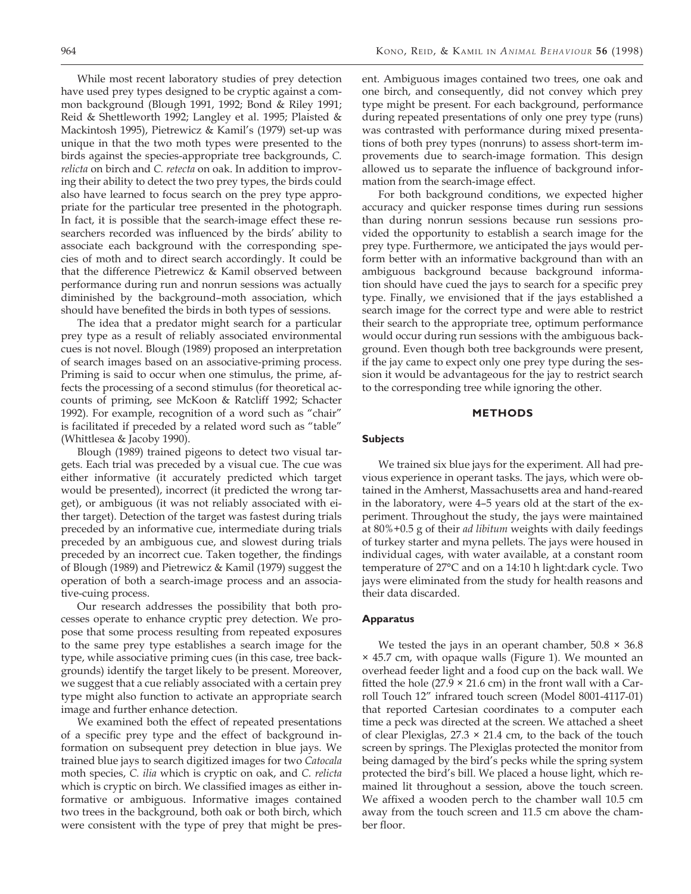While most recent laboratory studies of prey detection have used prey types designed to be cryptic against a common background (Blough 1991, 1992; Bond & Riley 1991; Reid & Shettleworth 1992; Langley et al. 1995; Plaisted & Mackintosh 1995), Pietrewicz & Kamil's (1979) set-up was unique in that the two moth types were presented to the birds against the species-appropriate tree backgrounds, *C. relicta* on birch and *C. retecta* on oak. In addition to improving their ability to detect the two prey types, the birds could also have learned to focus search on the prey type appropriate for the particular tree presented in the photograph. In fact, it is possible that the search-image effect these researchers recorded was influenced by the birds' ability to associate each background with the corresponding species of moth and to direct search accordingly. It could be that the difference Pietrewicz & Kamil observed between performance during run and nonrun sessions was actually diminished by the background–moth association, which should have benefited the birds in both types of sessions.

The idea that a predator might search for a particular prey type as a result of reliably associated environmental cues is not novel. Blough (1989) proposed an interpretation of search images based on an associative-priming process. Priming is said to occur when one stimulus, the prime, affects the processing of a second stimulus (for theoretical accounts of priming, see McKoon & Ratcliff 1992; Schacter 1992). For example, recognition of a word such as "chair" is facilitated if preceded by a related word such as "table" (Whittlesea & Jacoby 1990).

Blough (1989) trained pigeons to detect two visual targets. Each trial was preceded by a visual cue. The cue was either informative (it accurately predicted which target would be presented), incorrect (it predicted the wrong target), or ambiguous (it was not reliably associated with either target). Detection of the target was fastest during trials preceded by an informative cue, intermediate during trials preceded by an ambiguous cue, and slowest during trials preceded by an incorrect cue. Taken together, the findings of Blough (1989) and Pietrewicz & Kamil (1979) suggest the operation of both a search-image process and an associative-cuing process.

Our research addresses the possibility that both processes operate to enhance cryptic prey detection. We propose that some process resulting from repeated exposures to the same prey type establishes a search image for the type, while associative priming cues (in this case, tree backgrounds) identify the target likely to be present. Moreover, we suggest that a cue reliably associated with a certain prey type might also function to activate an appropriate search image and further enhance detection.

We examined both the effect of repeated presentations of a specific prey type and the effect of background information on subsequent prey detection in blue jays. We trained blue jays to search digitized images for two *Catocala*  moth species, *C. ilia* which is cryptic on oak, and *C. relicta*  which is cryptic on birch. We classified images as either informative or ambiguous. Informative images contained two trees in the background, both oak or both birch, which were consistent with the type of prey that might be present. Ambiguous images contained two trees, one oak and one birch, and consequently, did not convey which prey type might be present. For each background, performance during repeated presentations of only one prey type (runs) was contrasted with performance during mixed presentations of both prey types (nonruns) to assess short-term improvements due to search-image formation. This design allowed us to separate the influence of background information from the search-image effect.

For both background conditions, we expected higher accuracy and quicker response times during run sessions than during nonrun sessions because run sessions provided the opportunity to establish a search image for the prey type. Furthermore, we anticipated the jays would perform better with an informative background than with an ambiguous background because background information should have cued the jays to search for a specific prey type. Finally, we envisioned that if the jays established a search image for the correct type and were able to restrict their search to the appropriate tree, optimum performance would occur during run sessions with the ambiguous background. Even though both tree backgrounds were present, if the jay came to expect only one prey type during the session it would be advantageous for the jay to restrict search to the corresponding tree while ignoring the other.

#### **METHODS**

#### **Subjects**

We trained six blue jays for the experiment. All had previous experience in operant tasks. The jays, which were obtained in the Amherst, Massachusetts area and hand-reared in the laboratory, were 4–5 years old at the start of the experiment. Throughout the study, the jays were maintained at 80%+0.5 g of their *ad libitum* weights with daily feedings of turkey starter and myna pellets. The jays were housed in individual cages, with water available, at a constant room temperature of 27°C and on a 14:10 h light:dark cycle. Two jays were eliminated from the study for health reasons and their data discarded.

#### **Apparatus**

We tested the jays in an operant chamber,  $50.8 \times 36.8$ × 45.7 cm, with opaque walls (Figure 1). We mounted an overhead feeder light and a food cup on the back wall. We fitted the hole  $(27.9 \times 21.6 \text{ cm})$  in the front wall with a Carroll Touch 12" infrared touch screen (Model 8001-4117-01) that reported Cartesian coordinates to a computer each time a peck was directed at the screen. We attached a sheet of clear Plexiglas,  $27.3 \times 21.4$  cm, to the back of the touch screen by springs. The Plexiglas protected the monitor from being damaged by the bird's pecks while the spring system protected the bird's bill. We placed a house light, which remained lit throughout a session, above the touch screen. We affixed a wooden perch to the chamber wall 10.5 cm away from the touch screen and 11.5 cm above the chamber floor.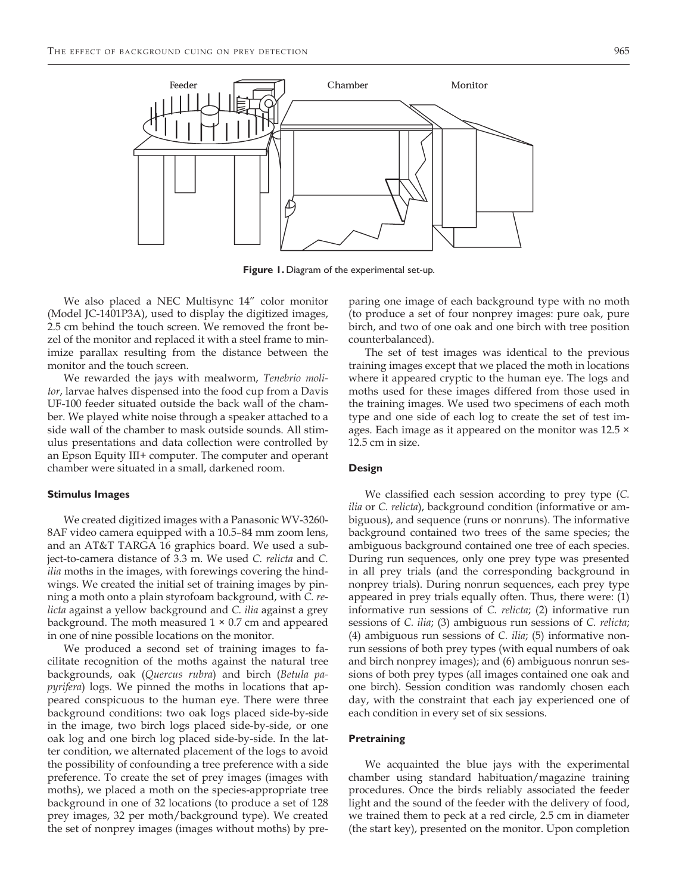

**Figure 1.** Diagram of the experimental set-up.

We also placed a NEC Multisync 14" color monitor (Model JC-1401P3A), used to display the digitized images, 2.5 cm behind the touch screen. We removed the front bezel of the monitor and replaced it with a steel frame to minimize parallax resulting from the distance between the monitor and the touch screen.

We rewarded the jays with mealworm, *Tenebrio molitor*, larvae halves dispensed into the food cup from a Davis UF-100 feeder situated outside the back wall of the chamber. We played white noise through a speaker attached to a side wall of the chamber to mask outside sounds. All stimulus presentations and data collection were controlled by an Epson Equity III+ computer. The computer and operant chamber were situated in a small, darkened room.

#### **Stimulus Images**

We created digitized images with a Panasonic WV-3260- 8AF video camera equipped with a 10.5–84 mm zoom lens, and an AT&T TARGA 16 graphics board. We used a subject-to-camera distance of 3.3 m. We used *C. relicta* and *C. ilia* moths in the images, with forewings covering the hindwings. We created the initial set of training images by pinning a moth onto a plain styrofoam background, with *C. relicta* against a yellow background and *C. ilia* against a grey background. The moth measured  $1 \times 0.7$  cm and appeared in one of nine possible locations on the monitor.

We produced a second set of training images to facilitate recognition of the moths against the natural tree backgrounds, oak (*Quercus rubra*) and birch (*Betula papyrifera*) logs. We pinned the moths in locations that appeared conspicuous to the human eye. There were three background conditions: two oak logs placed side-by-side in the image, two birch logs placed side-by-side, or one oak log and one birch log placed side-by-side. In the latter condition, we alternated placement of the logs to avoid the possibility of confounding a tree preference with a side preference. To create the set of prey images (images with moths), we placed a moth on the species-appropriate tree background in one of 32 locations (to produce a set of 128 prey images, 32 per moth/background type). We created the set of nonprey images (images without moths) by pre-

paring one image of each background type with no moth (to produce a set of four nonprey images: pure oak, pure birch, and two of one oak and one birch with tree position counterbalanced).

The set of test images was identical to the previous training images except that we placed the moth in locations where it appeared cryptic to the human eye. The logs and moths used for these images differed from those used in the training images. We used two specimens of each moth type and one side of each log to create the set of test images. Each image as it appeared on the monitor was 12.5 × 12.5 cm in size.

#### **Design**

We classified each session according to prey type (*C. ilia* or *C. relicta*), background condition (informative or ambiguous), and sequence (runs or nonruns). The informative background contained two trees of the same species; the ambiguous background contained one tree of each species. During run sequences, only one prey type was presented in all prey trials (and the corresponding background in nonprey trials). During nonrun sequences, each prey type appeared in prey trials equally often. Thus, there were: (1) informative run sessions of *C. relicta*; (2) informative run sessions of *C. ilia*; (3) ambiguous run sessions of *C. relicta*; (4) ambiguous run sessions of *C. ilia*; (5) informative nonrun sessions of both prey types (with equal numbers of oak and birch nonprey images); and (6) ambiguous nonrun sessions of both prey types (all images contained one oak and one birch). Session condition was randomly chosen each day, with the constraint that each jay experienced one of each condition in every set of six sessions.

#### **Pretraining**

We acquainted the blue jays with the experimental chamber using standard habituation/magazine training procedures. Once the birds reliably associated the feeder light and the sound of the feeder with the delivery of food, we trained them to peck at a red circle, 2.5 cm in diameter (the start key), presented on the monitor. Upon completion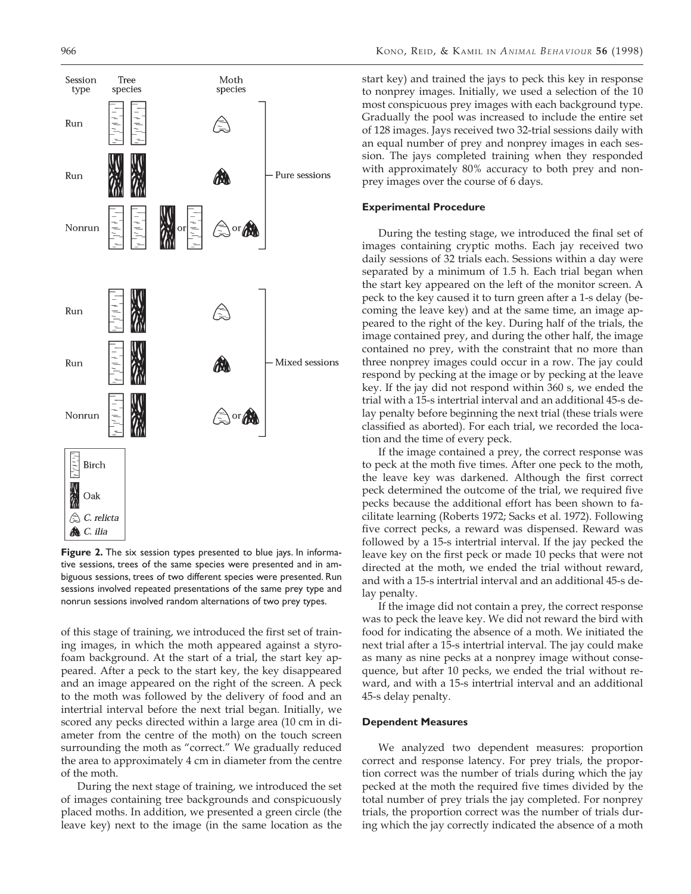

**Figure 2.** The six session types presented to blue jays. In informative sessions, trees of the same species were presented and in ambiguous sessions, trees of two different species were presented. Run sessions involved repeated presentations of the same prey type and nonrun sessions involved random alternations of two prey types.

of this stage of training, we introduced the first set of training images, in which the moth appeared against a styrofoam background. At the start of a trial, the start key appeared. After a peck to the start key, the key disappeared and an image appeared on the right of the screen. A peck to the moth was followed by the delivery of food and an intertrial interval before the next trial began. Initially, we scored any pecks directed within a large area (10 cm in diameter from the centre of the moth) on the touch screen surrounding the moth as "correct." We gradually reduced the area to approximately 4 cm in diameter from the centre of the moth.

During the next stage of training, we introduced the set of images containing tree backgrounds and conspicuously placed moths. In addition, we presented a green circle (the leave key) next to the image (in the same location as the start key) and trained the jays to peck this key in response to nonprey images. Initially, we used a selection of the 10 most conspicuous prey images with each background type. Gradually the pool was increased to include the entire set of 128 images. Jays received two 32-trial sessions daily with an equal number of prey and nonprey images in each session. The jays completed training when they responded with approximately 80% accuracy to both prey and nonprey images over the course of 6 days.

#### **Experimental Procedure**

During the testing stage, we introduced the final set of images containing cryptic moths. Each jay received two daily sessions of 32 trials each. Sessions within a day were separated by a minimum of 1.5 h. Each trial began when the start key appeared on the left of the monitor screen. A peck to the key caused it to turn green after a 1-s delay (becoming the leave key) and at the same time, an image appeared to the right of the key. During half of the trials, the image contained prey, and during the other half, the image contained no prey, with the constraint that no more than three nonprey images could occur in a row. The jay could respond by pecking at the image or by pecking at the leave key. If the jay did not respond within 360 s, we ended the trial with a 15-s intertrial interval and an additional 45-s delay penalty before beginning the next trial (these trials were classified as aborted). For each trial, we recorded the location and the time of every peck.

If the image contained a prey, the correct response was to peck at the moth five times. After one peck to the moth, the leave key was darkened. Although the first correct peck determined the outcome of the trial, we required five pecks because the additional effort has been shown to facilitate learning (Roberts 1972; Sacks et al. 1972). Following five correct pecks, a reward was dispensed. Reward was followed by a 15-s intertrial interval. If the jay pecked the leave key on the first peck or made 10 pecks that were not directed at the moth, we ended the trial without reward, and with a 15-s intertrial interval and an additional 45-s delay penalty.

If the image did not contain a prey, the correct response was to peck the leave key. We did not reward the bird with food for indicating the absence of a moth. We initiated the next trial after a 15-s intertrial interval. The jay could make as many as nine pecks at a nonprey image without consequence, but after 10 pecks, we ended the trial without reward, and with a 15-s intertrial interval and an additional 45-s delay penalty.

#### **Dependent Measures**

We analyzed two dependent measures: proportion correct and response latency. For prey trials, the proportion correct was the number of trials during which the jay pecked at the moth the required five times divided by the total number of prey trials the jay completed. For nonprey trials, the proportion correct was the number of trials during which the jay correctly indicated the absence of a moth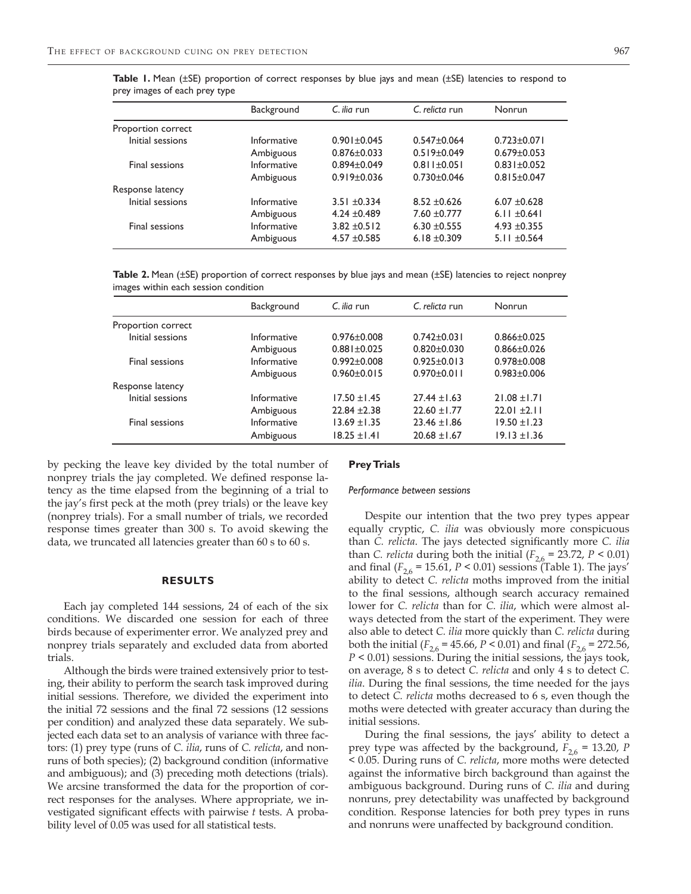|                    | Background  | C. ilia run       | C. relicta run    | Nonrun            |
|--------------------|-------------|-------------------|-------------------|-------------------|
| Proportion correct |             |                   |                   |                   |
| Initial sessions   | Informative | $0.901 \pm 0.045$ | $0.547 \pm 0.064$ | $0.723 \pm 0.071$ |
|                    | Ambiguous   | $0.876 \pm 0.033$ | $0.519 \pm 0.049$ | $0.679 \pm 0.053$ |
| Final sessions     | Informative | $0.894 \pm 0.049$ | $0.811 \pm 0.051$ | $0.831 \pm 0.052$ |
|                    | Ambiguous   | $0.919 \pm 0.036$ | $0.730 \pm 0.046$ | $0.815 \pm 0.047$ |
| Response latency   |             |                   |                   |                   |
| Initial sessions   | Informative | $3.51 \pm 0.334$  | $8.52 \pm 0.626$  | $6.07 + 0.628$    |
|                    | Ambiguous   | $4.24 \pm 0.489$  | $7.60 \pm 0.777$  | 6.11 $\pm$ 0.641  |
| Final sessions     | Informative | $3.82 \pm 0.512$  | 6.30 $\pm$ 0.555  | $4.93 \pm 0.355$  |
|                    | Ambiguous   | $4.57 + 0.585$    | 6.18 $\pm$ 0.309  | $5.11 \pm 0.564$  |

**Table 1.** Mean (±SE) proportion of correct responses by blue jays and mean (±SE) latencies to respond to prey images of each prey type

**Table 2.** Mean (±SE) proportion of correct responses by blue jays and mean (±SE) latencies to reject nonprey images within each session condition

|                    | Background  | C. ilia run       | C. relicta run    | Nonrun            |
|--------------------|-------------|-------------------|-------------------|-------------------|
| Proportion correct |             |                   |                   |                   |
| Initial sessions   | Informative | $0.976 \pm 0.008$ | $0.742 \pm 0.031$ | $0.866 \pm 0.025$ |
|                    | Ambiguous   | $0.881 \pm 0.025$ | $0.820 \pm 0.030$ | $0.866 \pm 0.026$ |
| Final sessions     | Informative | $0.992 \pm 0.008$ | $0.925 \pm 0.013$ | $0.978 + 0.008$   |
|                    | Ambiguous   | $0.960 \pm 0.015$ | $0.970 \pm 0.011$ | $0.983 + 0.006$   |
| Response latency   |             |                   |                   |                   |
| Initial sessions   | Informative | $17.50 + 1.45$    | $27.44 + 1.63$    | $21.08 \pm 1.71$  |
|                    | Ambiguous   | $22.84 \pm 2.38$  | $22.60 \pm 1.77$  | $22.01 \pm 2.11$  |
| Final sessions     | Informative | $13.69 + 1.35$    | $23.46 \pm 1.86$  | $19.50 \pm 1.23$  |
|                    | Ambiguous   | $18.25 + 1.41$    | $20.68 \pm 1.67$  | $19.13 \pm 1.36$  |

by pecking the leave key divided by the total number of nonprey trials the jay completed. We defined response latency as the time elapsed from the beginning of a trial to the jay's first peck at the moth (prey trials) or the leave key (nonprey trials). For a small number of trials, we recorded response times greater than 300 s. To avoid skewing the data, we truncated all latencies greater than 60 s to 60 s.

#### **RESULTS**

Each jay completed 144 sessions, 24 of each of the six conditions. We discarded one session for each of three birds because of experimenter error. We analyzed prey and nonprey trials separately and excluded data from aborted trials.

Although the birds were trained extensively prior to testing, their ability to perform the search task improved during initial sessions. Therefore, we divided the experiment into the initial 72 sessions and the final 72 sessions (12 sessions per condition) and analyzed these data separately. We subjected each data set to an analysis of variance with three factors: (1) prey type (runs of *C. ilia*, runs of *C. relicta*, and nonruns of both species); (2) background condition (informative and ambiguous); and (3) preceding moth detections (trials). We arcsine transformed the data for the proportion of correct responses for the analyses. Where appropriate, we investigated significant effects with pairwise *t* tests. A probability level of 0.05 was used for all statistical tests.

#### **Prey Trials**

#### *Performance between sessions*

Despite our intention that the two prey types appear equally cryptic, *C. ilia* was obviously more conspicuous than *C. relicta*. The jays detected significantly more *C. ilia*  than *C. relicta* during both the initial ( $F_{2,6}$  = 23.72, *P* < 0.01) and final  $(F_{2,6} = 15.61, P \le 0.01)$  sessions (Table 1). The jays' ability to detect *C. relicta* moths improved from the initial to the final sessions, although search accuracy remained lower for *C. relicta* than for *C. ilia*, which were almost always detected from the start of the experiment. They were also able to detect *C. ilia* more quickly than *C. relicta* during both the initial ( $F_{2,6}$  = 45.66, *P* < 0.01) and final ( $F_{2,6}$  = 272.56, *P <* 0.01) sessions. During the initial sessions, the jays took, on average, 8 s to detect *C. relicta* and only 4 s to detect *C. ilia*. During the final sessions, the time needed for the jays to detect *C. relicta* moths decreased to 6 s, even though the moths were detected with greater accuracy than during the initial sessions.

During the final sessions, the jays' ability to detect a prey type was affected by the background,  $F_{26} = 13.20$ , *P <* 0.05. During runs of *C. relicta*, more moths were detected against the informative birch background than against the ambiguous background. During runs of *C. ilia* and during nonruns, prey detectability was unaffected by background condition. Response latencies for both prey types in runs and nonruns were unaffected by background condition.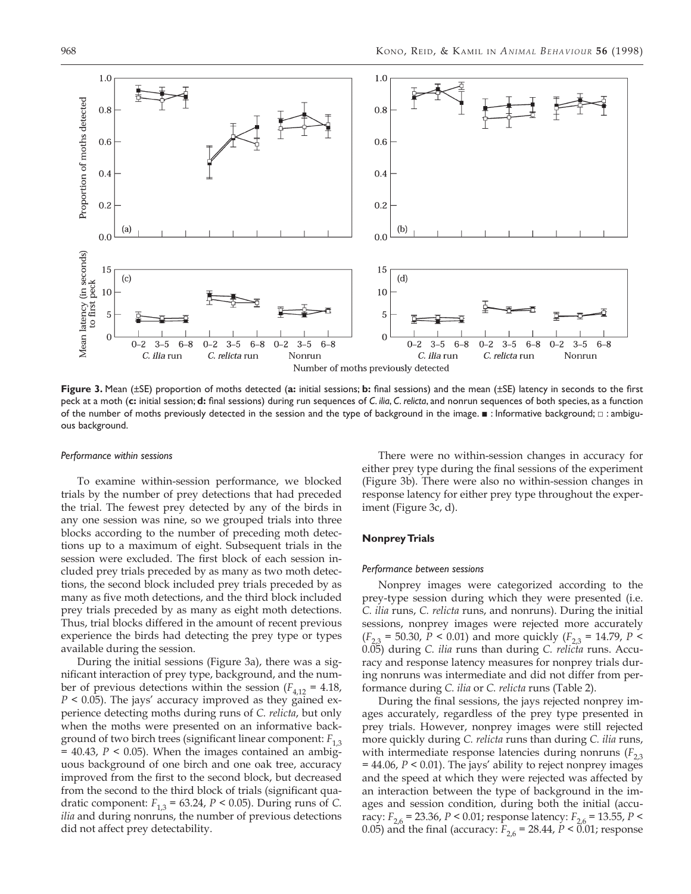

**Figure 3.** Mean (±SE) proportion of moths detected (**a:** initial sessions; **b:** final sessions) and the mean (±SE) latency in seconds to the first peck at a moth (**c:** initial session; **d:** final sessions) during run sequences of *C. ilia*, *C. relicta*, and nonrun sequences of both species, as a function of the number of moths previously detected in the session and the type of background in the image. ■ : Informative background; □ : ambiguous background.

#### *Performance within sessions*

To examine within-session performance, we blocked trials by the number of prey detections that had preceded the trial. The fewest prey detected by any of the birds in any one session was nine, so we grouped trials into three blocks according to the number of preceding moth detections up to a maximum of eight. Subsequent trials in the session were excluded. The first block of each session included prey trials preceded by as many as two moth detections, the second block included prey trials preceded by as many as five moth detections, and the third block included prey trials preceded by as many as eight moth detections. Thus, trial blocks differed in the amount of recent previous experience the birds had detecting the prey type or types available during the session.

During the initial sessions (Figure 3a), there was a significant interaction of prey type, background, and the number of previous detections within the session  $(F_{4,12} = 4.18)$ ,  $P < 0.05$ ). The jays' accuracy improved as they gained experience detecting moths during runs of *C. relicta*, but only when the moths were presented on an informative background of two birch trees (significant linear component: *F*1,3  $=$  40.43,  $P < 0.05$ ). When the images contained an ambiguous background of one birch and one oak tree, accuracy improved from the first to the second block, but decreased from the second to the third block of trials (significant quadratic component: *F*1,3 = 63.24, *P <* 0.05). During runs of *C. ilia* and during nonruns, the number of previous detections did not affect prey detectability.

There were no within-session changes in accuracy for either prey type during the final sessions of the experiment (Figure 3b). There were also no within-session changes in response latency for either prey type throughout the experiment (Figure 3c, d).

#### **Nonprey Trials**

#### *Performance between sessions*

Nonprey images were categorized according to the prey-type session during which they were presented (i.e. *C. ilia* runs, *C. relicta* runs, and nonruns). During the initial sessions, nonprey images were rejected more accurately  $(F_{2,3} = 50.30, P \le 0.01)$  and more quickly  $(F_{2,3} = 14.79, P \le$ 0.05) during *C. ilia* runs than during *C. relicta* runs. Accuracy and response latency measures for nonprey trials during nonruns was intermediate and did not differ from performance during *C. ilia* or *C. relicta* runs (Table 2).

During the final sessions, the jays rejected nonprey images accurately, regardless of the prey type presented in prey trials. However, nonprey images were still rejected more quickly during *C. relicta* runs than during *C. ilia* runs, with intermediate response latencies during nonruns  $(F_{2,3})$ = 44.06, *P <* 0.01). The jays' ability to reject nonprey images and the speed at which they were rejected was affected by an interaction between the type of background in the images and session condition, during both the initial (accuracy: *F*2,6 = 23.36, *P <* 0.01; response latency: *F*2,6 = 13.55, *P <*  0.05) and the final (accuracy:  $F_{2,6} = 28.44$ ,  $P < 0.01$ ; response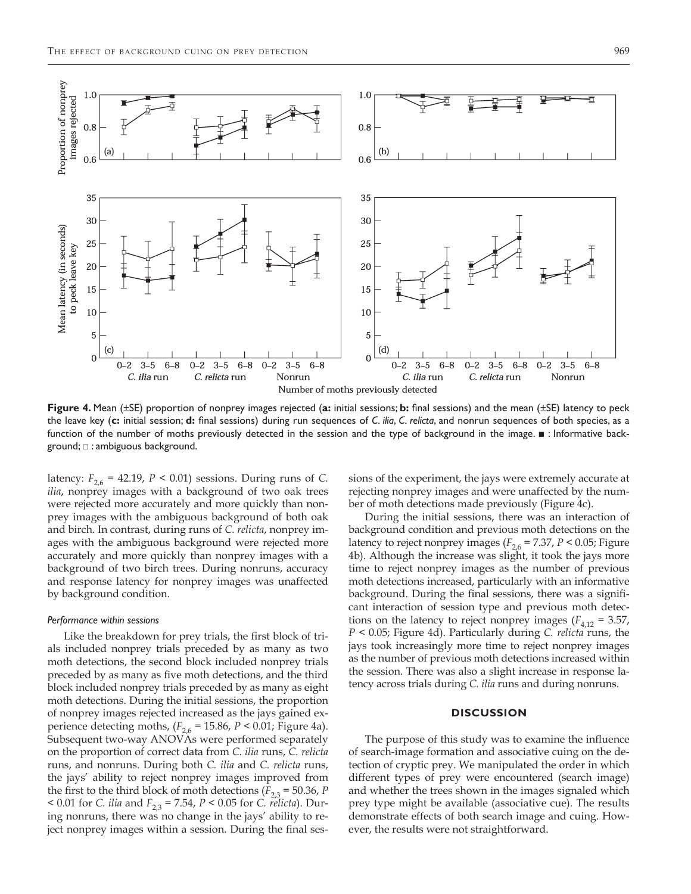

**Figure 4.** Mean (±SE) proportion of nonprey images rejected (**a:** initial sessions; **b:** final sessions) and the mean (±SE) latency to peck the leave key (**c:** initial session; **d:** final sessions) during run sequences of *C. ilia*, *C. relicta*, and nonrun sequences of both species, as a function of the number of moths previously detected in the session and the type of background in the image. ■ : Informative background; □ : ambiguous background.

latency:  $F_{26}$  = 42.19,  $P < 0.01$ ) sessions. During runs of *C*. *ilia*, nonprey images with a background of two oak trees were rejected more accurately and more quickly than nonprey images with the ambiguous background of both oak and birch. In contrast, during runs of *C. relicta*, nonprey images with the ambiguous background were rejected more accurately and more quickly than nonprey images with a background of two birch trees. During nonruns, accuracy and response latency for nonprey images was unaffected by background condition.

#### *Performance within sessions*

Like the breakdown for prey trials, the first block of trials included nonprey trials preceded by as many as two moth detections, the second block included nonprey trials preceded by as many as five moth detections, and the third block included nonprey trials preceded by as many as eight moth detections. During the initial sessions, the proportion of nonprey images rejected increased as the jays gained experience detecting moths,  $(F_{2,6} = 15.86, P \le 0.01;$  Figure 4a). Subsequent two-way ANOVAs were performed separately on the proportion of correct data from *C. ilia* runs, *C. relicta*  runs, and nonruns. During both *C. ilia* and *C. relicta* runs, the jays' ability to reject nonprey images improved from the first to the third block of moth detections ( $F_{2,3}$  = 50.36, *P <* 0.01 for *C. ilia* and *F*2,3 = 7.54, *P <* 0.05 for *C. relicta*). During nonruns, there was no change in the jays' ability to reject nonprey images within a session. During the final sessions of the experiment, the jays were extremely accurate at rejecting nonprey images and were unaffected by the number of moth detections made previously (Figure 4c).

During the initial sessions, there was an interaction of background condition and previous moth detections on the latency to reject nonprey images  $(F_{2,6} = 7.37, P \le 0.05;$  Figure 4b). Although the increase was slight, it took the jays more time to reject nonprey images as the number of previous moth detections increased, particularly with an informative background. During the final sessions, there was a significant interaction of session type and previous moth detections on the latency to reject nonprey images  $(F_{4,12} = 3.57)$ , *P <* 0.05; Figure 4d). Particularly during *C. relicta* runs, the jays took increasingly more time to reject nonprey images as the number of previous moth detections increased within the session. There was also a slight increase in response latency across trials during *C. ilia* runs and during nonruns.

#### **DISCUSSION**

The purpose of this study was to examine the influence of search-image formation and associative cuing on the detection of cryptic prey. We manipulated the order in which different types of prey were encountered (search image) and whether the trees shown in the images signaled which prey type might be available (associative cue). The results demonstrate effects of both search image and cuing. However, the results were not straightforward.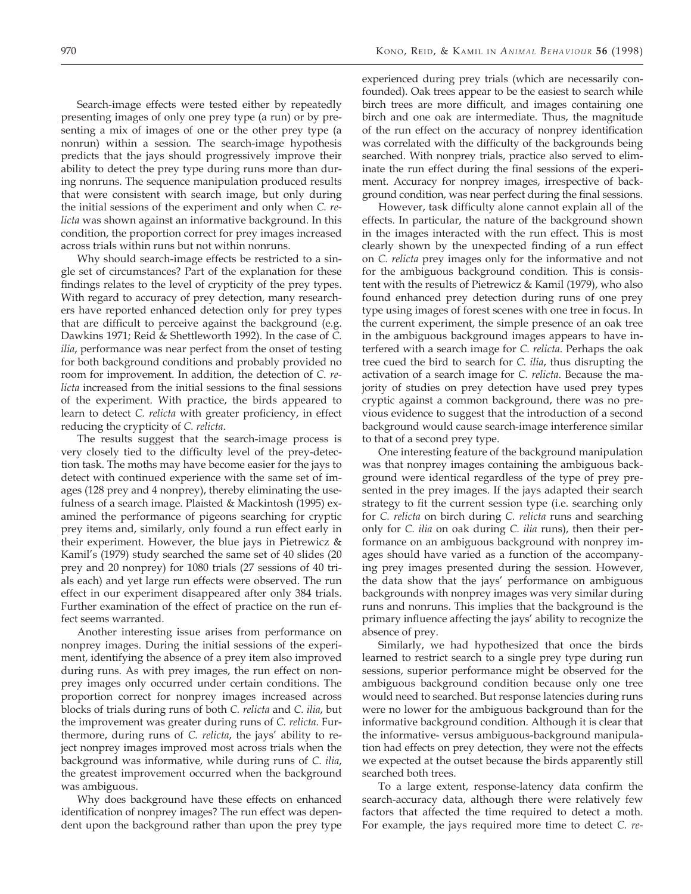Search-image effects were tested either by repeatedly presenting images of only one prey type (a run) or by presenting a mix of images of one or the other prey type (a nonrun) within a session. The search-image hypothesis predicts that the jays should progressively improve their ability to detect the prey type during runs more than during nonruns. The sequence manipulation produced results that were consistent with search image, but only during the initial sessions of the experiment and only when *C. relicta* was shown against an informative background. In this condition, the proportion correct for prey images increased across trials within runs but not within nonruns.

Why should search-image effects be restricted to a single set of circumstances? Part of the explanation for these findings relates to the level of crypticity of the prey types. With regard to accuracy of prey detection, many researchers have reported enhanced detection only for prey types that are difficult to perceive against the background (e.g. Dawkins 1971; Reid & Shettleworth 1992). In the case of *C. ilia*, performance was near perfect from the onset of testing for both background conditions and probably provided no room for improvement. In addition, the detection of *C. relicta* increased from the initial sessions to the final sessions of the experiment. With practice, the birds appeared to learn to detect *C. relicta* with greater proficiency, in effect reducing the crypticity of *C. relicta*.

The results suggest that the search-image process is very closely tied to the difficulty level of the prey-detection task. The moths may have become easier for the jays to detect with continued experience with the same set of images (128 prey and 4 nonprey), thereby eliminating the usefulness of a search image. Plaisted & Mackintosh (1995) examined the performance of pigeons searching for cryptic prey items and, similarly, only found a run effect early in their experiment. However, the blue jays in Pietrewicz  $\&$ Kamil's (1979) study searched the same set of 40 slides (20 prey and 20 nonprey) for 1080 trials (27 sessions of 40 trials each) and yet large run effects were observed. The run effect in our experiment disappeared after only 384 trials. Further examination of the effect of practice on the run effect seems warranted.

Another interesting issue arises from performance on nonprey images. During the initial sessions of the experiment, identifying the absence of a prey item also improved during runs. As with prey images, the run effect on nonprey images only occurred under certain conditions. The proportion correct for nonprey images increased across blocks of trials during runs of both *C. relicta* and *C. ilia*, but the improvement was greater during runs of *C. relicta*. Furthermore, during runs of *C. relicta*, the jays' ability to reject nonprey images improved most across trials when the background was informative, while during runs of *C. ilia*, the greatest improvement occurred when the background was ambiguous.

Why does background have these effects on enhanced identification of nonprey images? The run effect was dependent upon the background rather than upon the prey type experienced during prey trials (which are necessarily confounded). Oak trees appear to be the easiest to search while birch trees are more difficult, and images containing one birch and one oak are intermediate. Thus, the magnitude of the run effect on the accuracy of nonprey identification was correlated with the difficulty of the backgrounds being searched. With nonprey trials, practice also served to eliminate the run effect during the final sessions of the experiment. Accuracy for nonprey images, irrespective of background condition, was near perfect during the final sessions.

However, task difficulty alone cannot explain all of the effects. In particular, the nature of the background shown in the images interacted with the run effect. This is most clearly shown by the unexpected finding of a run effect on *C. relicta* prey images only for the informative and not for the ambiguous background condition. This is consistent with the results of Pietrewicz & Kamil (1979), who also found enhanced prey detection during runs of one prey type using images of forest scenes with one tree in focus. In the current experiment, the simple presence of an oak tree in the ambiguous background images appears to have interfered with a search image for *C. relicta*. Perhaps the oak tree cued the bird to search for *C. ilia*, thus disrupting the activation of a search image for *C. relicta*. Because the majority of studies on prey detection have used prey types cryptic against a common background, there was no previous evidence to suggest that the introduction of a second background would cause search-image interference similar to that of a second prey type.

One interesting feature of the background manipulation was that nonprey images containing the ambiguous background were identical regardless of the type of prey presented in the prey images. If the jays adapted their search strategy to fit the current session type (i.e. searching only for *C. relicta* on birch during *C. relicta* runs and searching only for *C. ilia* on oak during *C. ilia* runs), then their performance on an ambiguous background with nonprey images should have varied as a function of the accompanying prey images presented during the session. However, the data show that the jays' performance on ambiguous backgrounds with nonprey images was very similar during runs and nonruns. This implies that the background is the primary influence affecting the jays' ability to recognize the absence of prey.

Similarly, we had hypothesized that once the birds learned to restrict search to a single prey type during run sessions, superior performance might be observed for the ambiguous background condition because only one tree would need to searched. But response latencies during runs were no lower for the ambiguous background than for the informative background condition. Although it is clear that the informative- versus ambiguous-background manipulation had effects on prey detection, they were not the effects we expected at the outset because the birds apparently still searched both trees.

To a large extent, response-latency data confirm the search-accuracy data, although there were relatively few factors that affected the time required to detect a moth. For example, the jays required more time to detect *C. re-*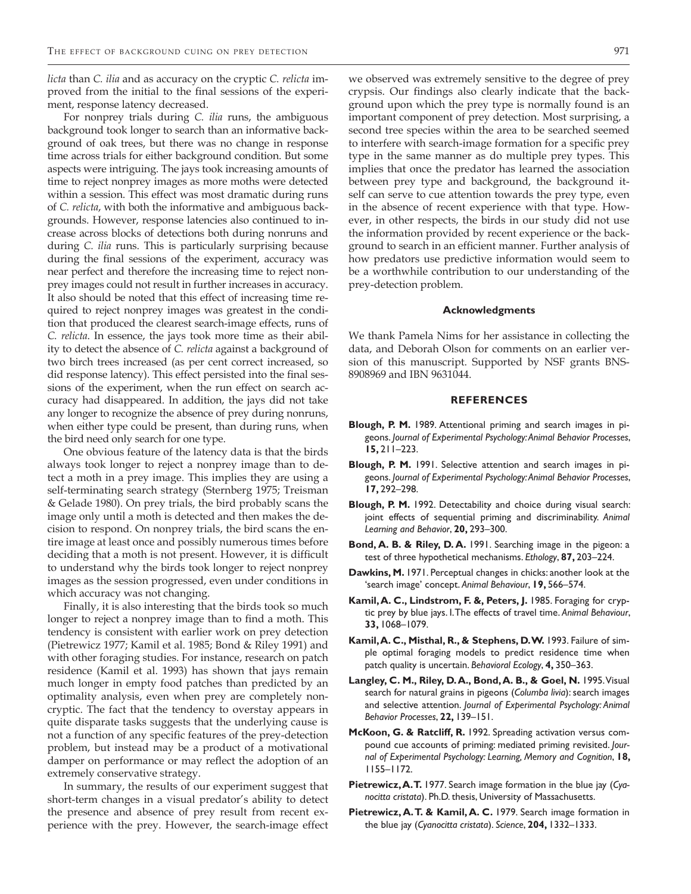*licta* than *C. ilia* and as accuracy on the cryptic *C. relicta* improved from the initial to the final sessions of the experiment, response latency decreased.

For nonprey trials during *C. ilia* runs, the ambiguous background took longer to search than an informative background of oak trees, but there was no change in response time across trials for either background condition. But some aspects were intriguing. The jays took increasing amounts of time to reject nonprey images as more moths were detected within a session. This effect was most dramatic during runs of *C. relicta*, with both the informative and ambiguous backgrounds. However, response latencies also continued to increase across blocks of detections both during nonruns and during *C. ilia* runs. This is particularly surprising because during the final sessions of the experiment, accuracy was near perfect and therefore the increasing time to reject nonprey images could not result in further increases in accuracy. It also should be noted that this effect of increasing time required to reject nonprey images was greatest in the condition that produced the clearest search-image effects, runs of *C. relicta*. In essence, the jays took more time as their ability to detect the absence of *C. relicta* against a background of two birch trees increased (as per cent correct increased, so did response latency). This effect persisted into the final sessions of the experiment, when the run effect on search accuracy had disappeared. In addition, the jays did not take any longer to recognize the absence of prey during nonruns, when either type could be present, than during runs, when the bird need only search for one type.

One obvious feature of the latency data is that the birds always took longer to reject a nonprey image than to detect a moth in a prey image. This implies they are using a self-terminating search strategy (Sternberg 1975; Treisman & Gelade 1980). On prey trials, the bird probably scans the image only until a moth is detected and then makes the decision to respond. On nonprey trials, the bird scans the entire image at least once and possibly numerous times before deciding that a moth is not present. However, it is difficult to understand why the birds took longer to reject nonprey images as the session progressed, even under conditions in which accuracy was not changing.

Finally, it is also interesting that the birds took so much longer to reject a nonprey image than to find a moth. This tendency is consistent with earlier work on prey detection (Pietrewicz 1977; Kamil et al. 1985; Bond & Riley 1991) and with other foraging studies. For instance, research on patch residence (Kamil et al. 1993) has shown that jays remain much longer in empty food patches than predicted by an optimality analysis, even when prey are completely noncryptic. The fact that the tendency to overstay appears in quite disparate tasks suggests that the underlying cause is not a function of any specific features of the prey-detection problem, but instead may be a product of a motivational damper on performance or may reflect the adoption of an extremely conservative strategy.

In summary, the results of our experiment suggest that short-term changes in a visual predator's ability to detect the presence and absence of prey result from recent experience with the prey. However, the search-image effect

we observed was extremely sensitive to the degree of prey crypsis. Our findings also clearly indicate that the background upon which the prey type is normally found is an important component of prey detection. Most surprising, a second tree species within the area to be searched seemed to interfere with search-image formation for a specific prey type in the same manner as do multiple prey types. This implies that once the predator has learned the association between prey type and background, the background itself can serve to cue attention towards the prey type, even in the absence of recent experience with that type. However, in other respects, the birds in our study did not use the information provided by recent experience or the background to search in an efficient manner. Further analysis of how predators use predictive information would seem to be a worthwhile contribution to our understanding of the prey-detection problem.

#### **Acknowledgments**

We thank Pamela Nims for her assistance in collecting the data, and Deborah Olson for comments on an earlier version of this manuscript. Supported by NSF grants BNS-8908969 and IBN 9631044.

#### **References**

- **Blough, P. M.** 1989. Attentional priming and search images in pigeons. *Journal of Experimental Psychology: Animal Behavior Processes*, **15,** 211–223.
- **Blough, P. M.** 1991. Selective attention and search images in pigeons. *Journal of Experimental Psychology: Animal Behavior Processes*, **17,** 292–298.
- **Blough, P. M.** 1992. Detectability and choice during visual search: joint effects of sequential priming and discriminability. *Animal Learning and Behavior*, **20,** 293–300.
- **Bond, A. B. & Riley, D. A.** 1991. Searching image in the pigeon: a test of three hypothetical mechanisms. *Ethology*, **87,** 203–224.
- **Dawkins, M.** 1971. Perceptual changes in chicks: another look at the 'search image' concept. *Animal Behaviour*, **19,** 566–574.
- **Kamil, A. C., Lindstrom, F. &, Peters, J.** 1985. Foraging for cryptic prey by blue jays. I. The effects of travel time. *Animal Behaviour*, **33,** 1068–1079.
- **Kamil, A. C., Misthal, R., & Stephens, D. W.** 1993. Failure of simple optimal foraging models to predict residence time when patch quality is uncertain. *Behavioral Ecology*, **4,** 350–363.
- **Langley, C. M., Riley, D. A., Bond, A. B., & Goel, N.** 1995. Visual search for natural grains in pigeons (*Columba livia*): search images and selective attention. *Journal of Experimental Psychology: Animal Behavior Processes*, **22,** 139–151.
- **McKoon, G. & Ratcliff, R.** 1992. Spreading activation versus compound cue accounts of priming: mediated priming revisited. *Journal of Experimental Psychology: Learning, Memory and Cognition*, **18,**  1155–1172.
- **Pietrewicz, A. T.** 1977. Search image formation in the blue jay (*Cyanocitta cristata*). Ph.D. thesis, University of Massachusetts.
- **Pietrewicz, A. T. & Kamil, A. C.** 1979. Search image formation in the blue jay (*Cyanocitta cristata*). *Science*, **204,** 1332–1333.